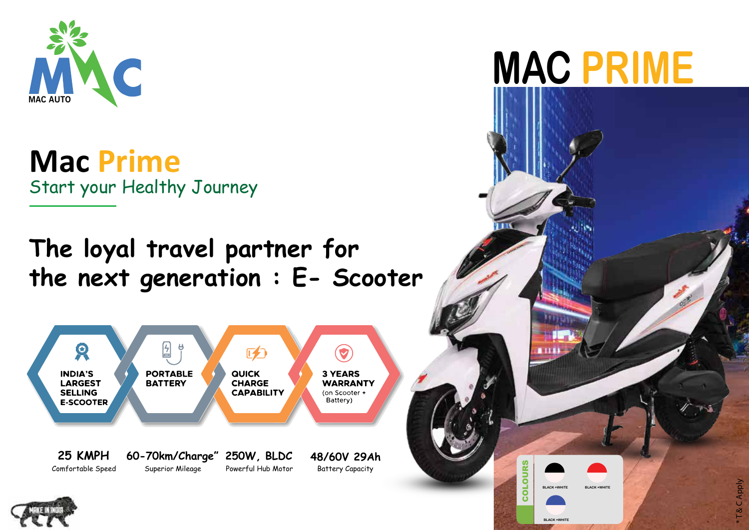

**Mac Prime** Start your Healthy Journey

## **The loyal travel partner for the next generation : E- Scooter**



## **MAC PRIME**

၀<br>ပ

**BLACK +WHITE**

**BLACK +WHITE**

**BLACK +WHITE**

LOURS